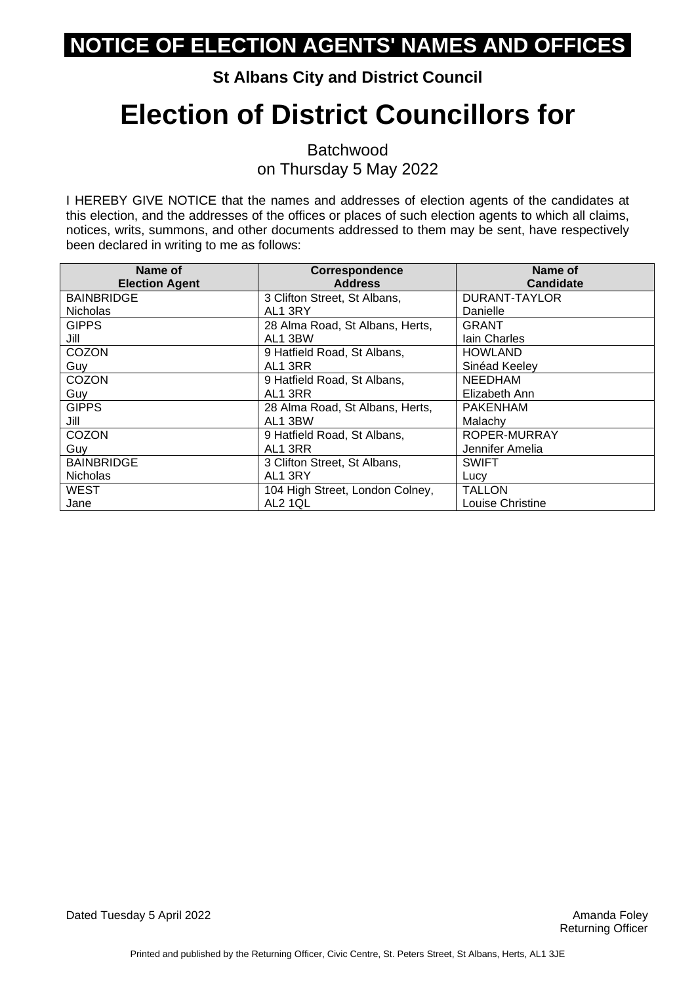#### **St Albans City and District Council**

# **Election of District Councillors for**

Batchwood on Thursday 5 May 2022

| Name of<br><b>Election Agent</b> | <b>Correspondence</b><br><b>Address</b> | Name of<br><b>Candidate</b> |
|----------------------------------|-----------------------------------------|-----------------------------|
| <b>BAINBRIDGE</b>                | 3 Clifton Street, St Albans,            | DURANT-TAYLOR               |
| <b>Nicholas</b>                  | AL1 3RY                                 | Danielle                    |
| <b>GIPPS</b>                     | 28 Alma Road, St Albans, Herts,         | <b>GRANT</b>                |
| Jill                             | AL1 3BW                                 | lain Charles                |
| COZON                            | 9 Hatfield Road, St Albans,             | <b>HOWLAND</b>              |
| Guy                              | AL1 3RR                                 | Sinéad Keeley               |
| COZON                            | 9 Hatfield Road, St Albans,             | <b>NEEDHAM</b>              |
| Guy                              | AL1 3RR                                 | Elizabeth Ann               |
| <b>GIPPS</b>                     | 28 Alma Road, St Albans, Herts,         | <b>PAKENHAM</b>             |
| Jill                             | AL1 3BW                                 | Malachy                     |
| COZON                            | 9 Hatfield Road, St Albans,             | ROPER-MURRAY                |
| Guy                              | AL1 3RR                                 | Jennifer Amelia             |
| <b>BAINBRIDGE</b>                | 3 Clifton Street, St Albans,            | <b>SWIFT</b>                |
| <b>Nicholas</b>                  | AL1 3RY                                 | Lucy                        |
| <b>WEST</b>                      | 104 High Street, London Colney,         | TALLON                      |
| Jane                             | AL2 1QL                                 | Louise Christine            |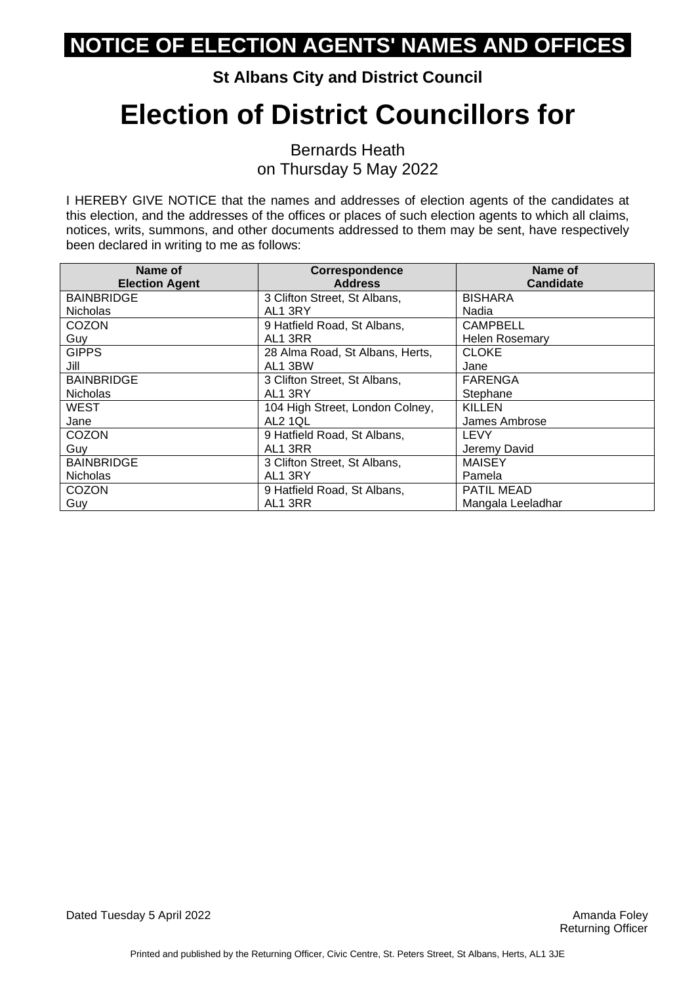#### **St Albans City and District Council**

## **Election of District Councillors for**

Bernards Heath on Thursday 5 May 2022

| Name of<br><b>Election Agent</b> | <b>Correspondence</b><br><b>Address</b> | Name of<br><b>Candidate</b> |
|----------------------------------|-----------------------------------------|-----------------------------|
| <b>BAINBRIDGE</b>                | 3 Clifton Street, St Albans,            | <b>BISHARA</b>              |
| <b>Nicholas</b>                  | AL1 3RY                                 | Nadia                       |
| <b>COZON</b>                     | 9 Hatfield Road, St Albans,             | <b>CAMPBELL</b>             |
| Guy                              | AL1 3RR                                 | <b>Helen Rosemary</b>       |
| <b>GIPPS</b>                     | 28 Alma Road, St Albans, Herts,         | <b>CLOKE</b>                |
| Jill                             | AL1 3BW                                 | Jane                        |
| <b>BAINBRIDGE</b>                | 3 Clifton Street, St Albans,            | <b>FARENGA</b>              |
| <b>Nicholas</b>                  | AL1 3RY                                 | Stephane                    |
| <b>WEST</b>                      | 104 High Street, London Colney,         | <b>KILLEN</b>               |
| Jane                             | AL2 1QL                                 | James Ambrose               |
| <b>COZON</b>                     | 9 Hatfield Road, St Albans,             | <b>LEVY</b>                 |
| Guy                              | AL1 3RR                                 | Jeremy David                |
| <b>BAINBRIDGE</b>                | 3 Clifton Street, St Albans,            | <b>MAISEY</b>               |
| <b>Nicholas</b>                  | AL1 3RY                                 | Pamela                      |
| <b>COZON</b>                     | 9 Hatfield Road, St Albans,             | PATIL MEAD                  |
| Guy                              | AL1 3RR                                 | Mangala Leeladhar           |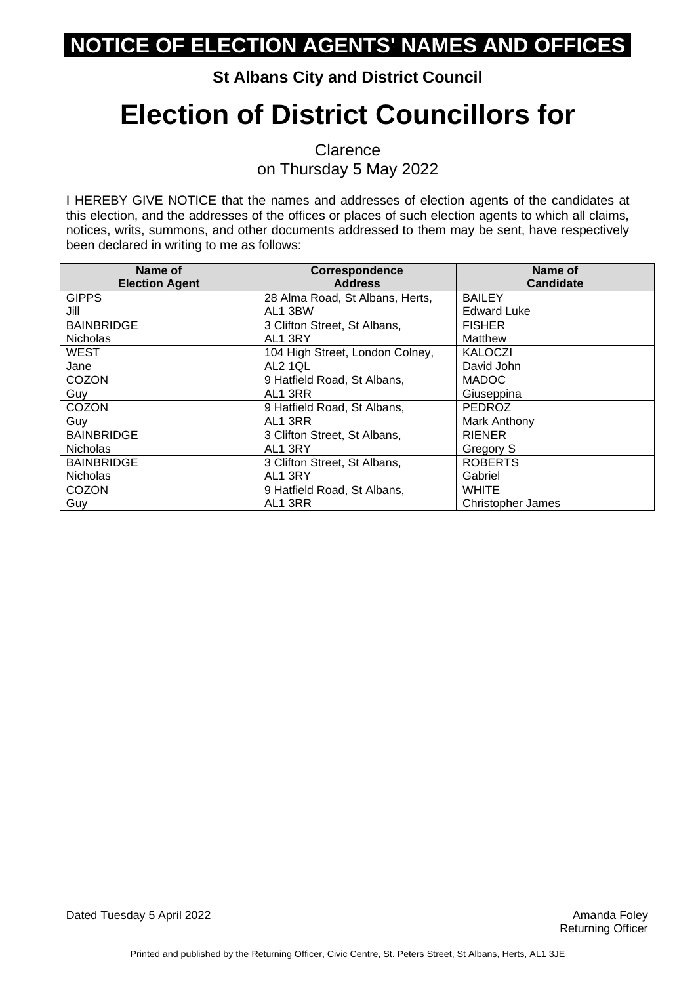#### **St Albans City and District Council**

## **Election of District Councillors for**

**Clarence** on Thursday 5 May 2022

| Name of<br><b>Election Agent</b> | Correspondence<br><b>Address</b> | Name of<br><b>Candidate</b> |
|----------------------------------|----------------------------------|-----------------------------|
| <b>GIPPS</b>                     | 28 Alma Road, St Albans, Herts,  | <b>BAILEY</b>               |
| Jill                             | AL1 3BW                          | <b>Edward Luke</b>          |
| <b>BAINBRIDGE</b>                | 3 Clifton Street, St Albans,     | <b>FISHER</b>               |
| <b>Nicholas</b>                  | AL1 3RY                          | Matthew                     |
| <b>WEST</b>                      | 104 High Street, London Colney,  | <b>KALOCZI</b>              |
| Jane                             | AL2 1QL                          | David John                  |
| COZON                            | 9 Hatfield Road, St Albans,      | <b>MADOC</b>                |
| Guy                              | AL1 3RR                          | Giuseppina                  |
| COZON                            | 9 Hatfield Road, St Albans,      | PEDROZ                      |
| Guy                              | AL1 3RR                          | Mark Anthony                |
| <b>BAINBRIDGE</b>                | 3 Clifton Street, St Albans,     | <b>RIENER</b>               |
| <b>Nicholas</b>                  | AL1 3RY                          | Gregory S                   |
| <b>BAINBRIDGE</b>                | 3 Clifton Street, St Albans,     | <b>ROBERTS</b>              |
| <b>Nicholas</b>                  | AL1 3RY                          | Gabriel                     |
| <b>COZON</b>                     | 9 Hatfield Road, St Albans,      | <b>WHITE</b>                |
| Guy                              | AL1 3RR                          | <b>Christopher James</b>    |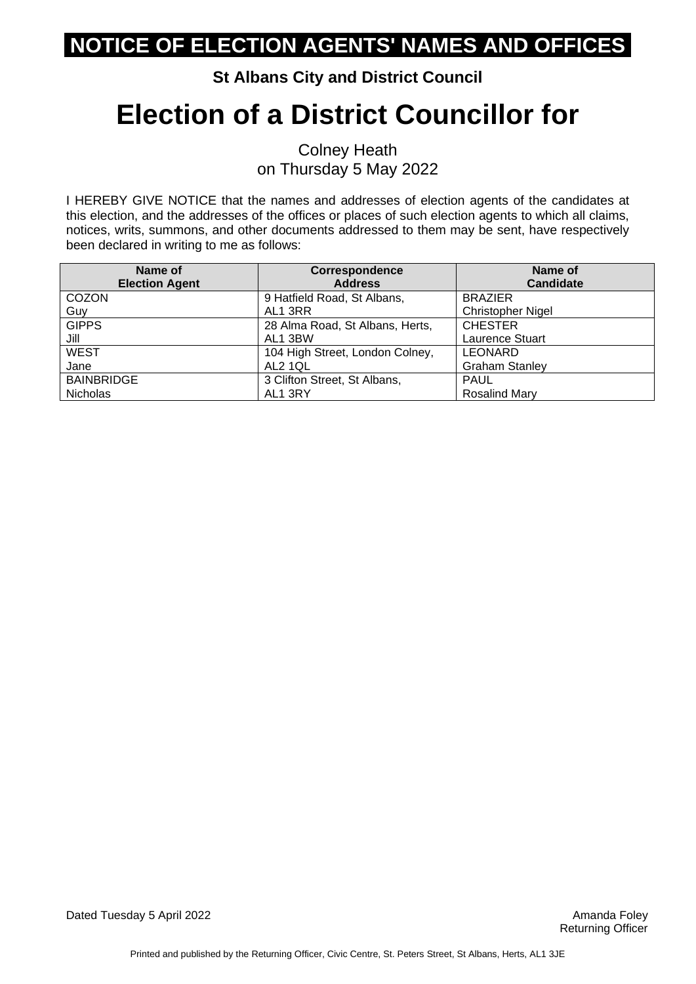#### **St Albans City and District Council**

# **Election of a District Councillor for**

Colney Heath on Thursday 5 May 2022

| Name of               | Correspondence                  | Name of                  |
|-----------------------|---------------------------------|--------------------------|
| <b>Election Agent</b> | <b>Address</b>                  | <b>Candidate</b>         |
| COZON                 | 9 Hatfield Road, St Albans,     | <b>BRAZIER</b>           |
| Guy                   | AL1 3RR                         | <b>Christopher Nigel</b> |
| <b>GIPPS</b>          | 28 Alma Road, St Albans, Herts, | <b>CHESTER</b>           |
| Jill                  | AL1 3BW                         | <b>Laurence Stuart</b>   |
| <b>WEST</b>           | 104 High Street, London Colney, | <b>LEONARD</b>           |
| Jane                  | AL2 1QL                         | <b>Graham Stanley</b>    |
| <b>BAINBRIDGE</b>     | 3 Clifton Street, St Albans,    | <b>PAUL</b>              |
| <b>Nicholas</b>       | AL1 3RY                         | <b>Rosalind Mary</b>     |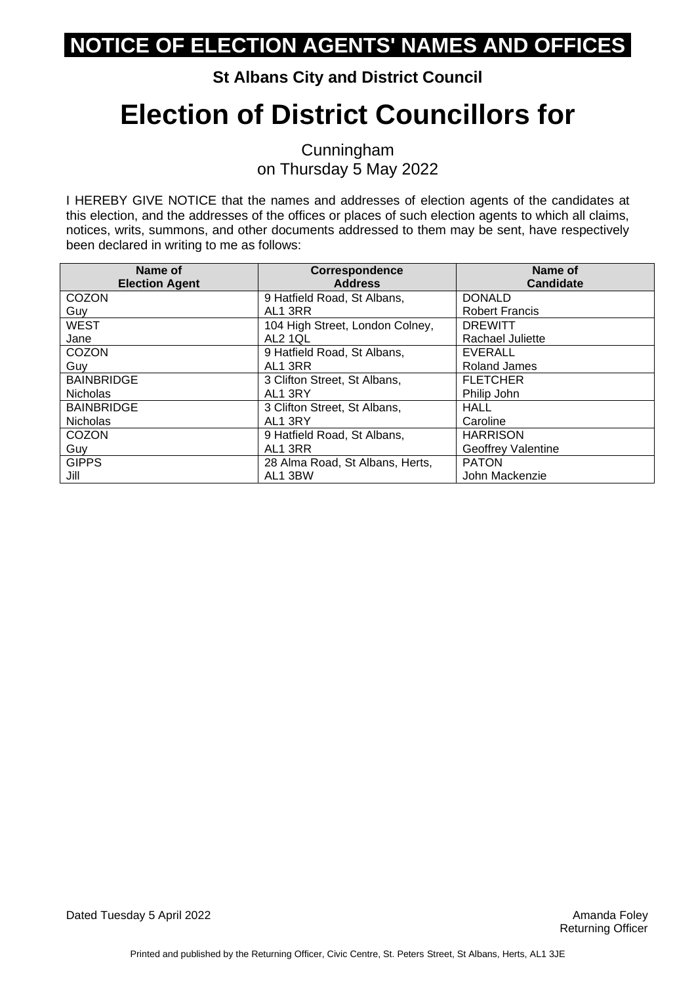#### **St Albans City and District Council**

# **Election of District Councillors for**

Cunningham on Thursday 5 May 2022

| Name of               | Correspondence                  | Name of                   |
|-----------------------|---------------------------------|---------------------------|
| <b>Election Agent</b> | <b>Address</b>                  | <b>Candidate</b>          |
| <b>COZON</b>          | 9 Hatfield Road, St Albans,     | <b>DONALD</b>             |
| Guy                   | AL1 3RR                         | <b>Robert Francis</b>     |
| <b>WEST</b>           | 104 High Street, London Colney, | <b>DREWITT</b>            |
| Jane                  | AL2 1QL                         | Rachael Juliette          |
| COZON                 | 9 Hatfield Road, St Albans,     | <b>EVERALL</b>            |
| Guy                   | AL1 3RR                         | Roland James              |
| <b>BAINBRIDGE</b>     | 3 Clifton Street, St Albans,    | <b>FLETCHER</b>           |
| <b>Nicholas</b>       | AL1 3RY                         | Philip John               |
| <b>BAINBRIDGE</b>     | 3 Clifton Street, St Albans,    | <b>HALL</b>               |
| <b>Nicholas</b>       | AL1 3RY                         | Caroline                  |
| <b>COZON</b>          | 9 Hatfield Road, St Albans,     | <b>HARRISON</b>           |
| Guy                   | AL1 3RR                         | <b>Geoffrey Valentine</b> |
| <b>GIPPS</b>          | 28 Alma Road, St Albans, Herts, | <b>PATON</b>              |
| Jill                  | AL1 3BW                         | John Mackenzie            |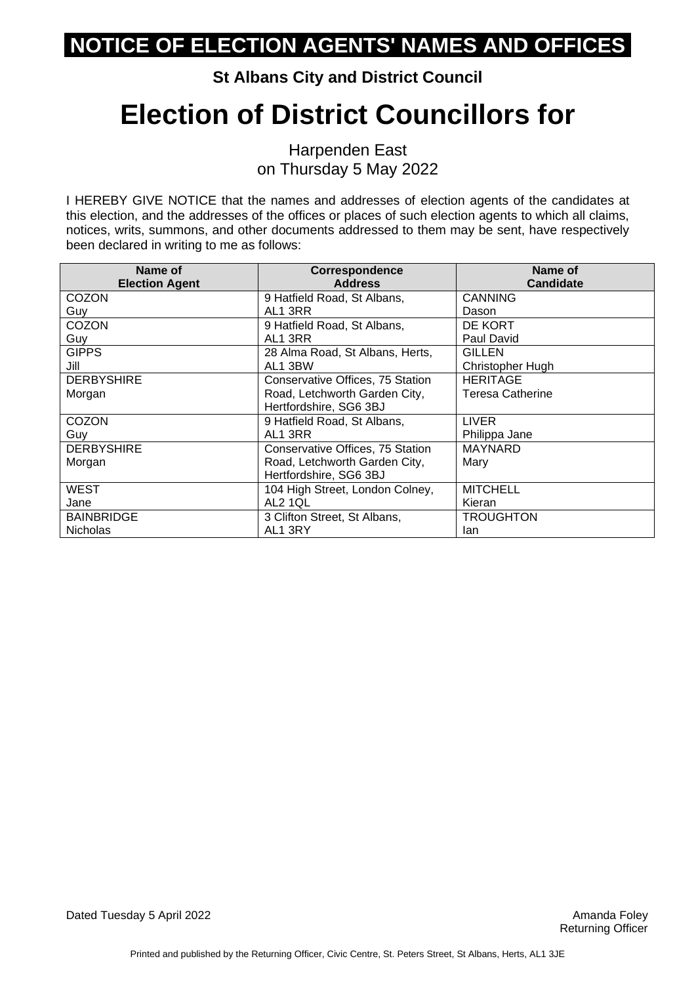**St Albans City and District Council**

# **Election of District Councillors for**

Harpenden East on Thursday 5 May 2022

| Name of               | <b>Correspondence</b>            | Name of                 |
|-----------------------|----------------------------------|-------------------------|
| <b>Election Agent</b> | <b>Address</b>                   | <b>Candidate</b>        |
| <b>COZON</b>          | 9 Hatfield Road, St Albans,      | <b>CANNING</b>          |
| Guy                   | AL1 3RR                          | Dason                   |
| COZON                 | 9 Hatfield Road, St Albans,      | DE KORT                 |
| Guy                   | AL1 3RR                          | Paul David              |
| <b>GIPPS</b>          | 28 Alma Road, St Albans, Herts,  | <b>GILLEN</b>           |
| Jill                  | AL1 3BW                          | Christopher Hugh        |
| <b>DERBYSHIRE</b>     | Conservative Offices, 75 Station | <b>HERITAGE</b>         |
| Morgan                | Road, Letchworth Garden City,    | <b>Teresa Catherine</b> |
|                       | Hertfordshire, SG6 3BJ           |                         |
| COZON                 | 9 Hatfield Road, St Albans,      | <b>LIVER</b>            |
| Guy                   | AL1 3RR                          | Philippa Jane           |
| <b>DERBYSHIRE</b>     | Conservative Offices, 75 Station | <b>MAYNARD</b>          |
| Morgan                | Road, Letchworth Garden City,    | Mary                    |
|                       | Hertfordshire, SG6 3BJ           |                         |
| <b>WEST</b>           | 104 High Street, London Colney,  | <b>MITCHELL</b>         |
| Jane                  | <b>AL2 1QL</b>                   | Kieran                  |
| <b>BAINBRIDGE</b>     | 3 Clifton Street, St Albans,     | TROUGHTON               |
| <b>Nicholas</b>       | AL1 3RY                          | lan                     |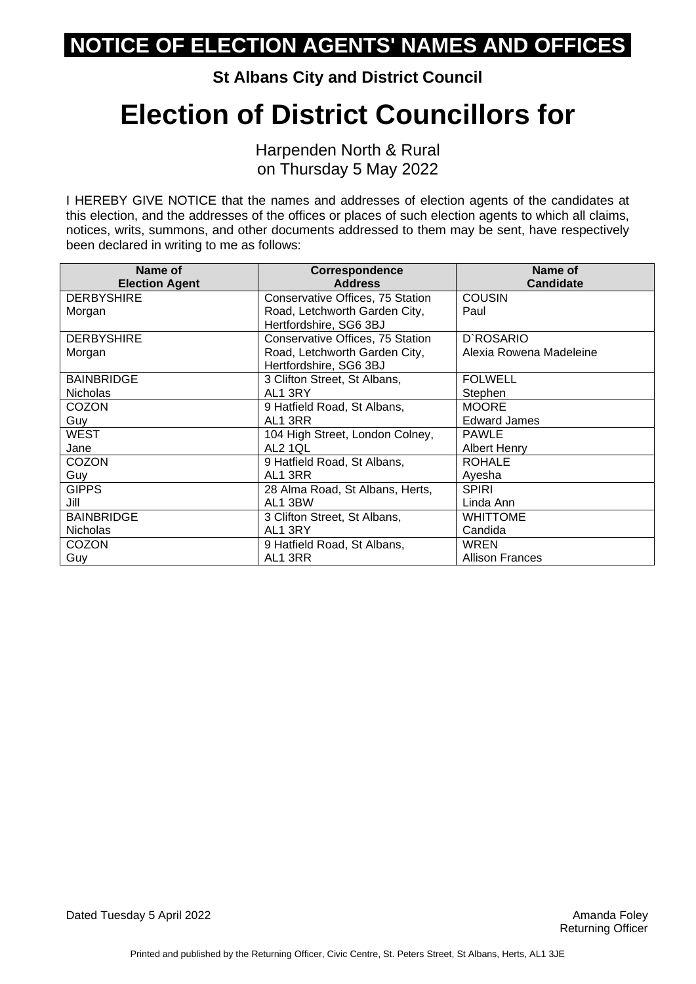**St Albans City and District Council**

### **Election of District Councillors for**

Harpenden North & Rural on Thursday 5 May 2022

| Name of               | Correspondence                   | Name of                 |
|-----------------------|----------------------------------|-------------------------|
| <b>Election Agent</b> | <b>Address</b>                   | <b>Candidate</b>        |
| <b>DERBYSHIRE</b>     | Conservative Offices, 75 Station | <b>COUSIN</b>           |
| Morgan                | Road, Letchworth Garden City,    | Paul                    |
|                       | Hertfordshire, SG6 3BJ           |                         |
| <b>DERBYSHIRE</b>     | Conservative Offices, 75 Station | D'ROSARIO               |
| Morgan                | Road, Letchworth Garden City,    | Alexia Rowena Madeleine |
|                       | Hertfordshire, SG6 3BJ           |                         |
| <b>BAINBRIDGE</b>     | 3 Clifton Street, St Albans,     | <b>FOLWELL</b>          |
| <b>Nicholas</b>       | AL1 3RY                          | Stephen                 |
| <b>COZON</b>          | 9 Hatfield Road, St Albans,      | <b>MOORE</b>            |
| Guy                   | AL1 3RR                          | <b>Edward James</b>     |
| WEST                  | 104 High Street, London Colney,  | <b>PAWLE</b>            |
| Jane                  | <b>AL2 1QL</b>                   | <b>Albert Henry</b>     |
| COZON                 | 9 Hatfield Road, St Albans,      | <b>ROHALE</b>           |
| Guy                   | AL1 3RR                          | Ayesha                  |
| <b>GIPPS</b>          | 28 Alma Road, St Albans, Herts,  | <b>SPIRI</b>            |
| Jill                  | AL1 3BW                          | Linda Ann               |
| <b>BAINBRIDGE</b>     | 3 Clifton Street, St Albans,     | <b>WHITTOME</b>         |
| <b>Nicholas</b>       | AL1 3RY                          | Candida                 |
| <b>COZON</b>          | 9 Hatfield Road, St Albans,      | <b>WREN</b>             |
| Guy                   | AL1 3RR                          | <b>Allison Frances</b>  |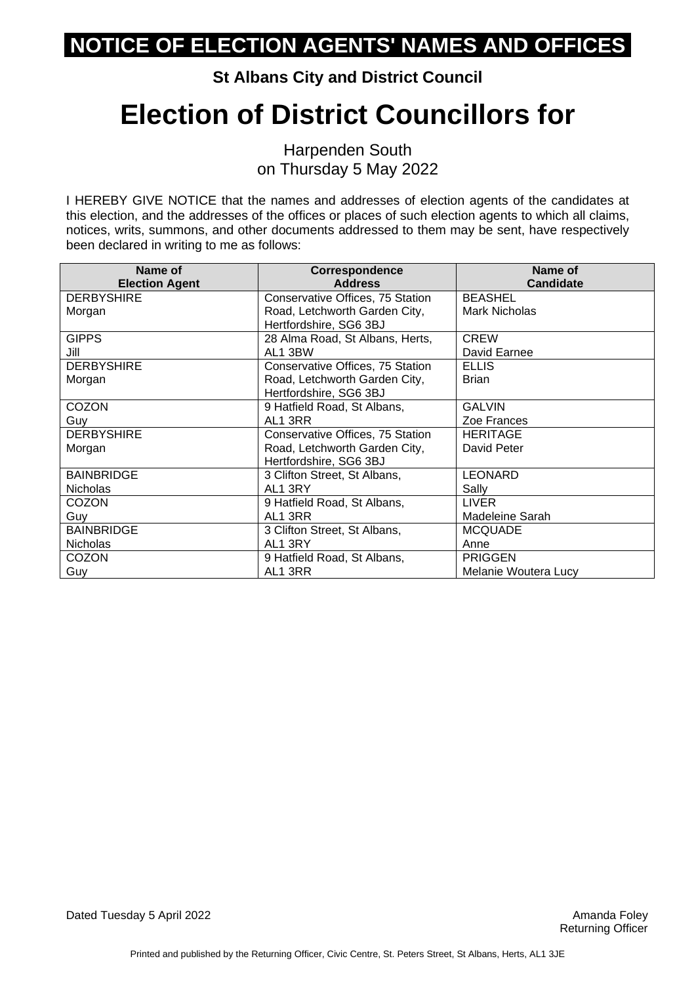**St Albans City and District Council**

## **Election of District Councillors for**

Harpenden South on Thursday 5 May 2022

| Name of               | <b>Correspondence</b>            | Name of              |
|-----------------------|----------------------------------|----------------------|
| <b>Election Agent</b> | <b>Address</b>                   | <b>Candidate</b>     |
| <b>DERBYSHIRE</b>     | Conservative Offices, 75 Station | <b>BEASHEL</b>       |
| Morgan                | Road, Letchworth Garden City,    | Mark Nicholas        |
|                       | Hertfordshire, SG6 3BJ           |                      |
| <b>GIPPS</b>          | 28 Alma Road, St Albans, Herts,  | <b>CREW</b>          |
| Jill                  | AL1 3BW                          | David Earnee         |
| <b>DERBYSHIRE</b>     | Conservative Offices, 75 Station | <b>ELLIS</b>         |
| Morgan                | Road, Letchworth Garden City,    | <b>Brian</b>         |
|                       | Hertfordshire, SG6 3BJ           |                      |
| COZON                 | 9 Hatfield Road, St Albans,      | <b>GALVIN</b>        |
| Guy                   | AL1 3RR                          | Zoe Frances          |
| <b>DERBYSHIRE</b>     | Conservative Offices, 75 Station | <b>HERITAGE</b>      |
| Morgan                | Road, Letchworth Garden City,    | David Peter          |
|                       | Hertfordshire, SG6 3BJ           |                      |
| <b>BAINBRIDGE</b>     | 3 Clifton Street, St Albans,     | <b>LEONARD</b>       |
| <b>Nicholas</b>       | AL1 3RY                          | Sally                |
| COZON                 | 9 Hatfield Road, St Albans,      | <b>LIVER</b>         |
| Guy                   | AL1 3RR                          | Madeleine Sarah      |
| <b>BAINBRIDGE</b>     | 3 Clifton Street, St Albans,     | <b>MCQUADE</b>       |
| <b>Nicholas</b>       | AL1 3RY                          | Anne                 |
| <b>COZON</b>          | 9 Hatfield Road, St Albans,      | <b>PRIGGEN</b>       |
| Guy                   | AL1 3RR                          | Melanie Woutera Lucy |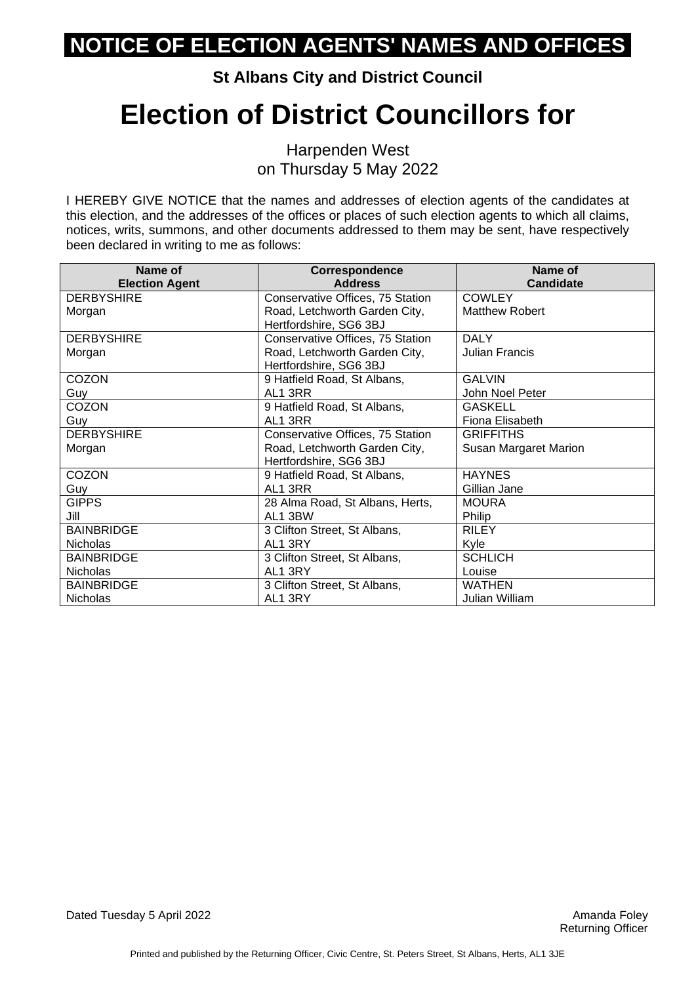**St Albans City and District Council**

## **Election of District Councillors for**

Harpenden West on Thursday 5 May 2022

I HEREBY GIVE NOTICE that the names and addresses of election agents of the candidates at this election, and the addresses of the offices or places of such election agents to which all claims, notices, writs, summons, and other documents addressed to them may be sent, have respectively been declared in writing to me as follows:

| Name of               | <b>Correspondence</b>            | Name of               |
|-----------------------|----------------------------------|-----------------------|
| <b>Election Agent</b> | <b>Address</b>                   | <b>Candidate</b>      |
| <b>DERBYSHIRE</b>     | Conservative Offices, 75 Station | <b>COWLEY</b>         |
| Morgan                | Road, Letchworth Garden City,    | <b>Matthew Robert</b> |
|                       | Hertfordshire, SG6 3BJ           |                       |
| <b>DERBYSHIRE</b>     | Conservative Offices, 75 Station | <b>DALY</b>           |
| Morgan                | Road, Letchworth Garden City,    | <b>Julian Francis</b> |
|                       | Hertfordshire, SG6 3BJ           |                       |
| COZON                 | 9 Hatfield Road, St Albans,      | <b>GALVIN</b>         |
| Guy                   | AL1 3RR                          | John Noel Peter       |
| COZON                 | 9 Hatfield Road, St Albans,      | <b>GASKELL</b>        |
| Guy                   | AL1 3RR                          | Fiona Elisabeth       |
| <b>DERBYSHIRE</b>     | Conservative Offices, 75 Station | <b>GRIFFITHS</b>      |
| Morgan                | Road, Letchworth Garden City,    | Susan Margaret Marion |
|                       | Hertfordshire, SG6 3BJ           |                       |
| COZON                 | 9 Hatfield Road, St Albans,      | <b>HAYNES</b>         |
| Guy                   | AL1 3RR                          | Gillian Jane          |
| <b>GIPPS</b>          | 28 Alma Road, St Albans, Herts,  | <b>MOURA</b>          |
| Jill                  | AL1 3BW                          | Philip                |
| <b>BAINBRIDGE</b>     | 3 Clifton Street, St Albans,     | <b>RILEY</b>          |
| <b>Nicholas</b>       | AL1 3RY                          | Kyle                  |
| <b>BAINBRIDGE</b>     | 3 Clifton Street, St Albans,     | <b>SCHLICH</b>        |
| <b>Nicholas</b>       | AL1 3RY                          | Louise                |
| <b>BAINBRIDGE</b>     | 3 Clifton Street, St Albans,     | <b>WATHEN</b>         |
| <b>Nicholas</b>       | AL1 3RY                          | Julian William        |

Dated Tuesday 5 April 2022 **Amanda Foley** Amanda Foley Amanda Foley **Amanda Foley**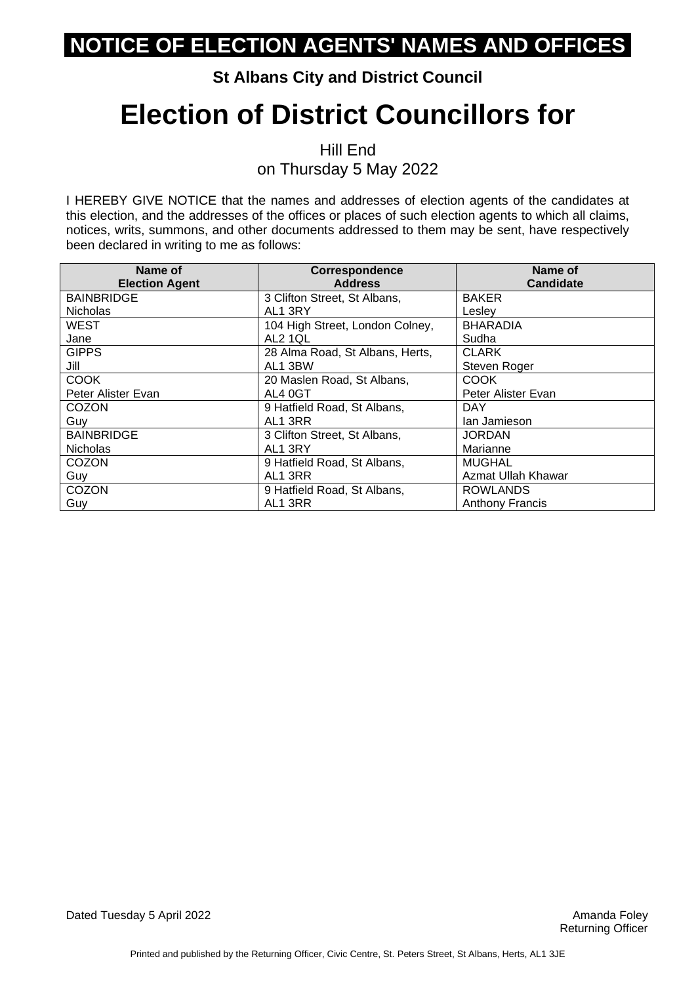#### **St Albans City and District Council**

## **Election of District Councillors for**

Hill End on Thursday 5 May 2022

| Name of<br><b>Election Agent</b> | Correspondence<br><b>Address</b> | Name of<br><b>Candidate</b> |
|----------------------------------|----------------------------------|-----------------------------|
| <b>BAINBRIDGE</b>                | 3 Clifton Street, St Albans,     | <b>BAKER</b>                |
| <b>Nicholas</b>                  | AL1 3RY                          | Lesley                      |
| <b>WEST</b>                      | 104 High Street, London Colney,  | <b>BHARADIA</b>             |
| Jane                             | AL2 1QL                          | Sudha                       |
| <b>GIPPS</b>                     | 28 Alma Road, St Albans, Herts,  | <b>CLARK</b>                |
| Jill                             | AL1 3BW                          | Steven Roger                |
| <b>COOK</b>                      | 20 Maslen Road, St Albans,       | <b>COOK</b>                 |
| Peter Alister Evan               | AL4 0GT                          | Peter Alister Evan          |
| <b>COZON</b>                     | 9 Hatfield Road, St Albans,      | <b>DAY</b>                  |
| Guy                              | AL1 3RR                          | lan Jamieson                |
| <b>BAINBRIDGE</b>                | 3 Clifton Street, St Albans,     | <b>JORDAN</b>               |
| <b>Nicholas</b>                  | AL1 3RY                          | Marianne                    |
| <b>COZON</b>                     | 9 Hatfield Road, St Albans,      | <b>MUGHAL</b>               |
| Guy                              | AL1 3RR                          | Azmat Ullah Khawar          |
| COZON                            | 9 Hatfield Road, St Albans,      | <b>ROWLANDS</b>             |
| Guy                              | AL1 3RR                          | <b>Anthony Francis</b>      |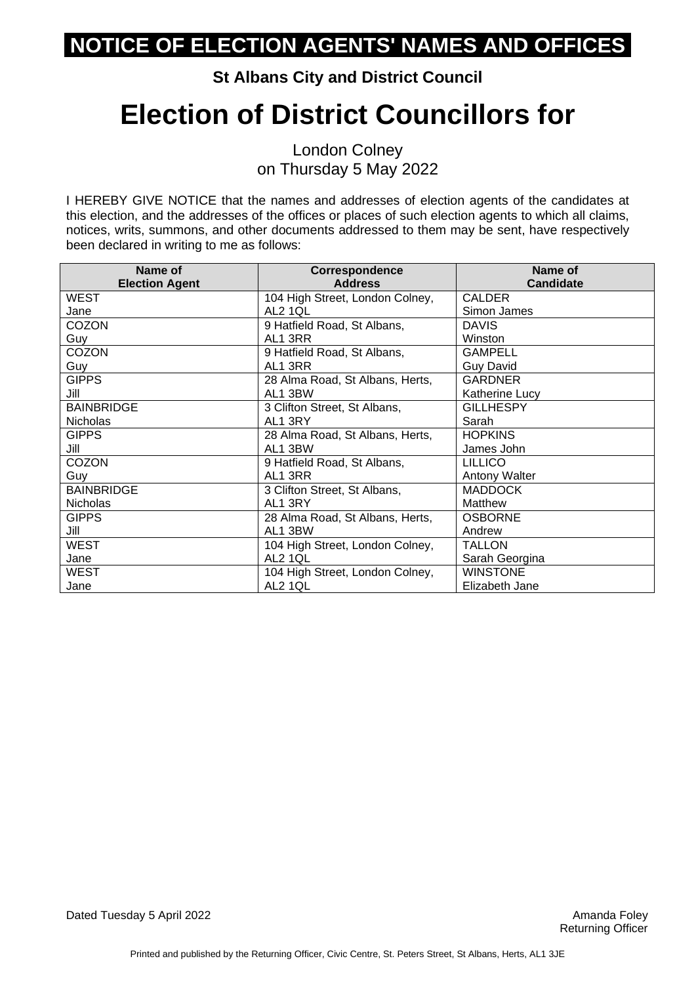#### **St Albans City and District Council**

## **Election of District Councillors for**

London Colney on Thursday 5 May 2022

| Name of               | Correspondence                  | Name of              |
|-----------------------|---------------------------------|----------------------|
| <b>Election Agent</b> | <b>Address</b>                  | <b>Candidate</b>     |
| <b>WEST</b>           | 104 High Street, London Colney, | <b>CALDER</b>        |
| Jane                  | AL2 1QL                         | Simon James          |
| COZON                 | 9 Hatfield Road, St Albans,     | <b>DAVIS</b>         |
| Guy                   | AL1 3RR                         | Winston              |
| COZON                 | 9 Hatfield Road, St Albans,     | <b>GAMPELL</b>       |
| Guy                   | AL1 3RR                         | <b>Guy David</b>     |
| <b>GIPPS</b>          | 28 Alma Road, St Albans, Herts, | <b>GARDNER</b>       |
| Jill                  | AL1 3BW                         | Katherine Lucy       |
| <b>BAINBRIDGE</b>     | 3 Clifton Street, St Albans,    | <b>GILLHESPY</b>     |
| <b>Nicholas</b>       | AL1 3RY                         | Sarah                |
| <b>GIPPS</b>          | 28 Alma Road, St Albans, Herts, | <b>HOPKINS</b>       |
| Jill                  | AL1 3BW                         | James John           |
| COZON                 | 9 Hatfield Road, St Albans,     | <b>LILLICO</b>       |
| Guy                   | AL1 3RR                         | <b>Antony Walter</b> |
| <b>BAINBRIDGE</b>     | 3 Clifton Street, St Albans,    | <b>MADDOCK</b>       |
| <b>Nicholas</b>       | AL1 3RY                         | Matthew              |
| <b>GIPPS</b>          | 28 Alma Road, St Albans, Herts, | <b>OSBORNE</b>       |
| Jill                  | AL1 3BW                         | Andrew               |
| <b>WEST</b>           | 104 High Street, London Colney, | <b>TALLON</b>        |
| Jane                  | AL2 1QL                         | Sarah Georgina       |
| WEST                  | 104 High Street, London Colney, | <b>WINSTONE</b>      |
| Jane                  | AL2 1QL                         | Elizabeth Jane       |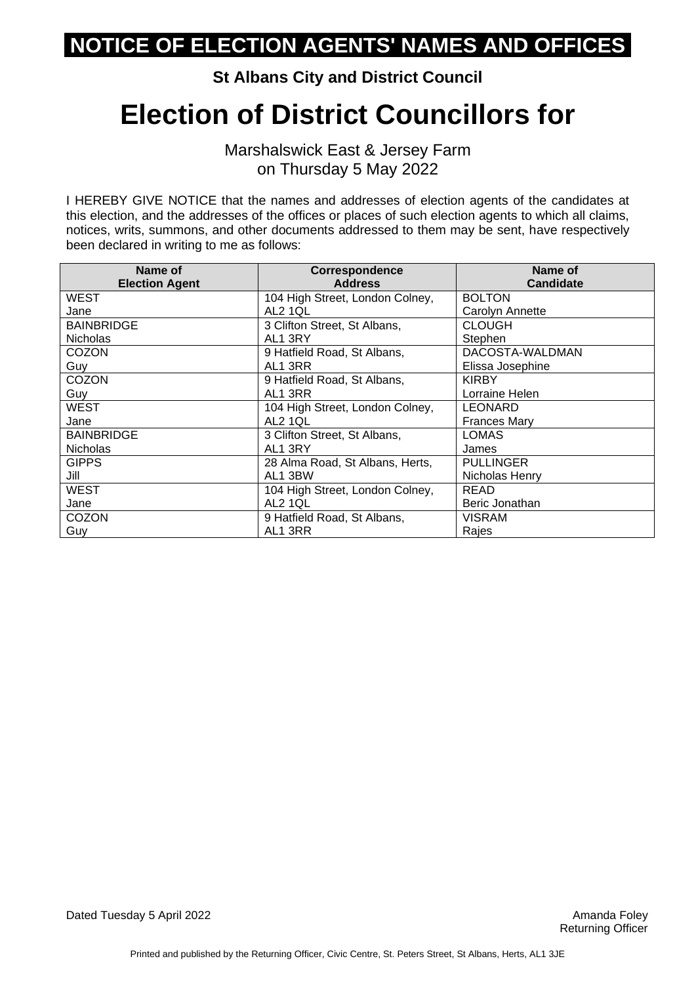**St Albans City and District Council**

### **Election of District Councillors for**

Marshalswick East & Jersey Farm on Thursday 5 May 2022

| Name of<br><b>Election Agent</b> | <b>Correspondence</b><br><b>Address</b> | Name of<br><b>Candidate</b> |
|----------------------------------|-----------------------------------------|-----------------------------|
| <b>WEST</b>                      | 104 High Street, London Colney,         | <b>BOLTON</b>               |
| Jane                             | AL2 1QL                                 | Carolyn Annette             |
| <b>BAINBRIDGE</b>                | 3 Clifton Street, St Albans,            | <b>CLOUGH</b>               |
| <b>Nicholas</b>                  | AL1 3RY                                 | Stephen                     |
| <b>COZON</b>                     | 9 Hatfield Road, St Albans,             | DACOSTA-WALDMAN             |
| Guy                              | AL1 3RR                                 | Elissa Josephine            |
| <b>COZON</b>                     | 9 Hatfield Road, St Albans,             | <b>KIRBY</b>                |
| Guy                              | AL1 3RR                                 | Lorraine Helen              |
| WEST                             | 104 High Street, London Colney,         | <b>LEONARD</b>              |
| Jane                             | AL2 1QL                                 | <b>Frances Mary</b>         |
| <b>BAINBRIDGE</b>                | 3 Clifton Street, St Albans,            | <b>LOMAS</b>                |
| <b>Nicholas</b>                  | AL1 3RY                                 | James                       |
| <b>GIPPS</b>                     | 28 Alma Road, St Albans, Herts,         | <b>PULLINGER</b>            |
| Jill                             | AL1 3BW                                 | Nicholas Henry              |
| <b>WEST</b>                      | 104 High Street, London Colney,         | <b>READ</b>                 |
| Jane                             | AL2 1QL                                 | Beric Jonathan              |
| <b>COZON</b>                     | 9 Hatfield Road, St Albans,             | VISRAM                      |
| Guy                              | AL1 3RR                                 | Rajes                       |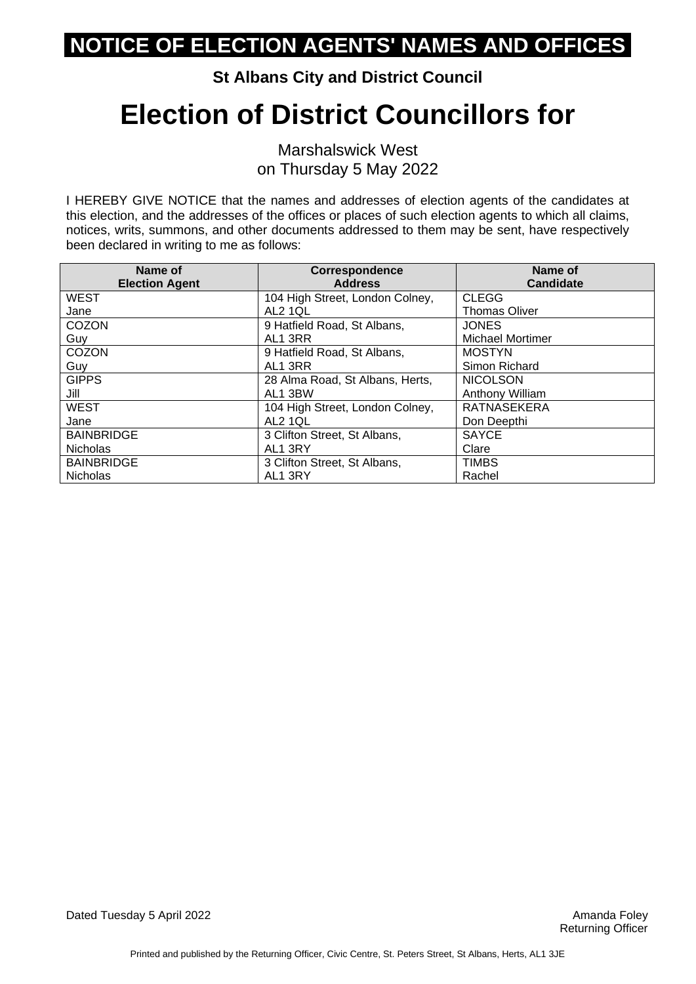**St Albans City and District Council**

# **Election of District Councillors for**

Marshalswick West on Thursday 5 May 2022

| Name of<br><b>Election Agent</b> | Correspondence<br><b>Address</b> | Name of<br><b>Candidate</b> |
|----------------------------------|----------------------------------|-----------------------------|
| <b>WEST</b>                      | 104 High Street, London Colney,  | <b>CLEGG</b>                |
| Jane                             | <b>AL2 1QL</b>                   | <b>Thomas Oliver</b>        |
| COZON                            | 9 Hatfield Road, St Albans,      | <b>JONES</b>                |
| Guy                              | AL1 3RR                          | <b>Michael Mortimer</b>     |
| COZON                            | 9 Hatfield Road, St Albans,      | <b>MOSTYN</b>               |
| Guy                              | AL1 3RR                          | Simon Richard               |
| <b>GIPPS</b>                     | 28 Alma Road, St Albans, Herts,  | <b>NICOLSON</b>             |
| Jill                             | AL1 3BW                          | Anthony William             |
| <b>WEST</b>                      | 104 High Street, London Colney,  | <b>RATNASEKERA</b>          |
| Jane                             | AL2 1QL                          | Don Deepthi                 |
| <b>BAINBRIDGE</b>                | 3 Clifton Street, St Albans,     | <b>SAYCE</b>                |
| <b>Nicholas</b>                  | AL1 3RY                          | Clare                       |
| <b>BAINBRIDGE</b>                | 3 Clifton Street, St Albans,     | <b>TIMBS</b>                |
| <b>Nicholas</b>                  | AL1 3RY                          | Rachel                      |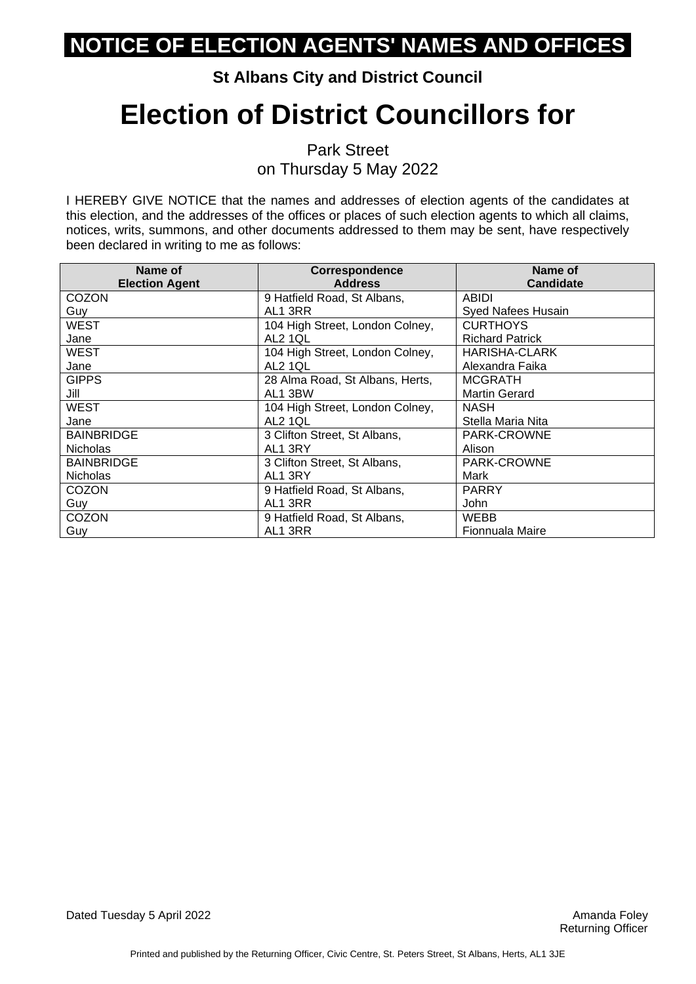#### **St Albans City and District Council**

# **Election of District Councillors for**

Park Street on Thursday 5 May 2022

| Name of               | <b>Correspondence</b>           | Name of                |
|-----------------------|---------------------------------|------------------------|
| <b>Election Agent</b> | <b>Address</b>                  | <b>Candidate</b>       |
| <b>COZON</b>          | 9 Hatfield Road, St Albans,     | <b>ABIDI</b>           |
| Guy                   | AL1 3RR                         | Syed Nafees Husain     |
| WEST                  | 104 High Street, London Colney, | <b>CURTHOYS</b>        |
| Jane                  | <b>AL2 1QL</b>                  | <b>Richard Patrick</b> |
| WEST                  | 104 High Street, London Colney, | <b>HARISHA-CLARK</b>   |
| Jane                  | AL2 1QL                         | Alexandra Faika        |
| <b>GIPPS</b>          | 28 Alma Road, St Albans, Herts, | <b>MCGRATH</b>         |
| Jill                  | AL1 3BW                         | <b>Martin Gerard</b>   |
| <b>WEST</b>           | 104 High Street, London Colney, | <b>NASH</b>            |
| Jane                  | AL2 1QL                         | Stella Maria Nita      |
| <b>BAINBRIDGE</b>     | 3 Clifton Street, St Albans,    | PARK-CROWNE            |
| <b>Nicholas</b>       | AL1 3RY                         | Alison                 |
| <b>BAINBRIDGE</b>     | 3 Clifton Street, St Albans,    | PARK-CROWNE            |
| <b>Nicholas</b>       | AL1 3RY                         | Mark                   |
| <b>COZON</b>          | 9 Hatfield Road, St Albans,     | <b>PARRY</b>           |
| Guy                   | AL1 3RR                         | John                   |
| <b>COZON</b>          | 9 Hatfield Road, St Albans,     | <b>WEBB</b>            |
| Guy                   | AL1 3RR                         | Fionnuala Maire        |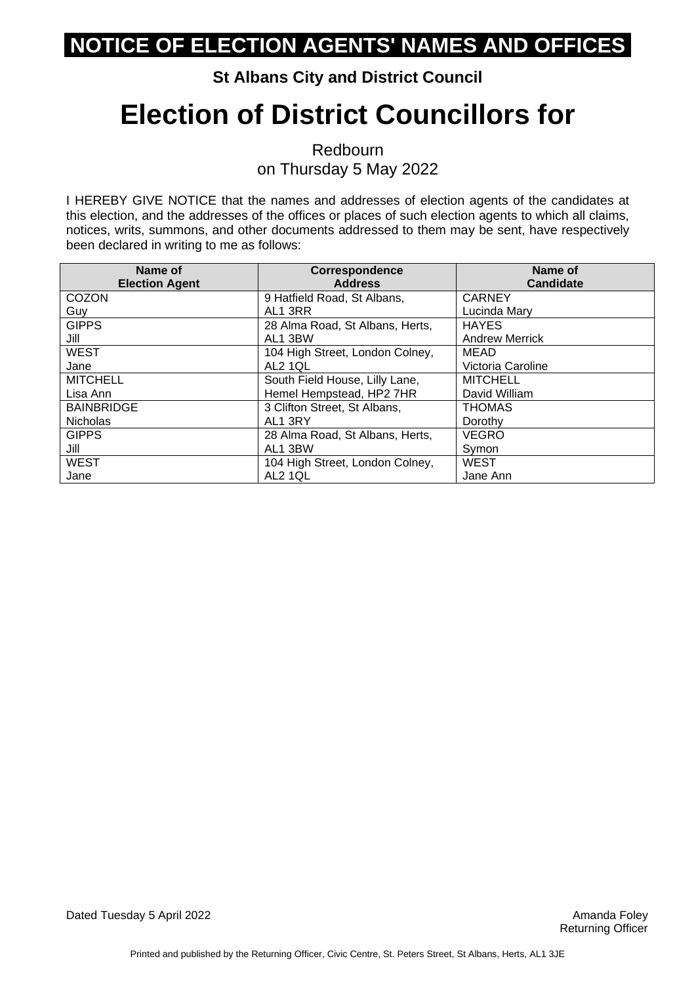#### **St Albans City and District Council**

# **Election of District Councillors for**

Redbourn on Thursday 5 May 2022

| Name of               | Correspondence                  | Name of               |
|-----------------------|---------------------------------|-----------------------|
| <b>Election Agent</b> | <b>Address</b>                  | <b>Candidate</b>      |
| <b>COZON</b>          | 9 Hatfield Road, St Albans,     | <b>CARNEY</b>         |
| Guy                   | AL1 3RR                         | Lucinda Mary          |
| <b>GIPPS</b>          | 28 Alma Road, St Albans, Herts, | <b>HAYES</b>          |
| Jill                  | AL1 3BW                         | <b>Andrew Merrick</b> |
| <b>WEST</b>           | 104 High Street, London Colney, | <b>MEAD</b>           |
| Jane                  | AL2 1QL                         | Victoria Caroline     |
| <b>MITCHELL</b>       | South Field House, Lilly Lane,  | <b>MITCHELL</b>       |
| Lisa Ann              | Hemel Hempstead, HP2 7HR        | David William         |
| <b>BAINBRIDGE</b>     | 3 Clifton Street, St Albans,    | <b>THOMAS</b>         |
| <b>Nicholas</b>       | AL1 3RY                         | Dorothy               |
| <b>GIPPS</b>          | 28 Alma Road, St Albans, Herts, | <b>VEGRO</b>          |
| Jill                  | AL1 3BW                         | Symon                 |
| <b>WEST</b>           | 104 High Street, London Colney, | <b>WEST</b>           |
| Jane                  | <b>AL2 1QL</b>                  | Jane Ann              |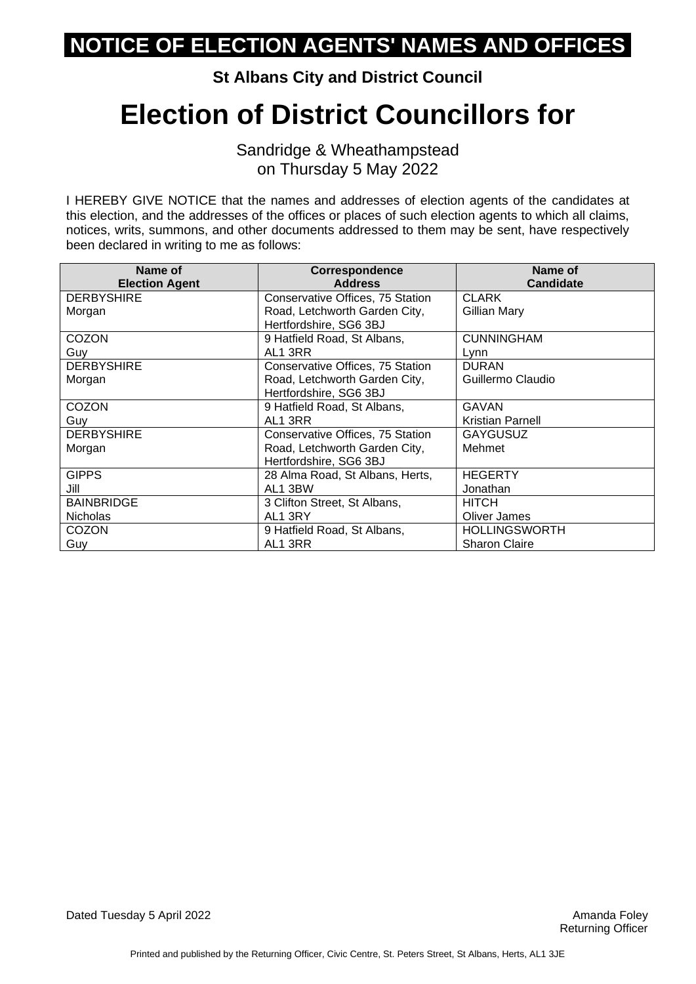**St Albans City and District Council**

### **Election of District Councillors for**

Sandridge & Wheathampstead on Thursday 5 May 2022

| Name of               | Correspondence                   | Name of                 |
|-----------------------|----------------------------------|-------------------------|
| <b>Election Agent</b> | <b>Address</b>                   | <b>Candidate</b>        |
| <b>DERBYSHIRE</b>     | Conservative Offices, 75 Station | <b>CLARK</b>            |
| Morgan                | Road, Letchworth Garden City,    | Gillian Mary            |
|                       | Hertfordshire, SG6 3BJ           |                         |
| COZON                 | 9 Hatfield Road, St Albans,      | <b>CUNNINGHAM</b>       |
| Guy                   | AL1 3RR                          | Lynn                    |
| <b>DERBYSHIRE</b>     | Conservative Offices, 75 Station | <b>DURAN</b>            |
| Morgan                | Road, Letchworth Garden City,    | Guillermo Claudio       |
|                       | Hertfordshire, SG6 3BJ           |                         |
| <b>COZON</b>          | 9 Hatfield Road, St Albans,      | <b>GAVAN</b>            |
| Guv                   | AL1 3RR                          | <b>Kristian Parnell</b> |
| <b>DERBYSHIRE</b>     | Conservative Offices, 75 Station | <b>GAYGUSUZ</b>         |
| Morgan                | Road, Letchworth Garden City,    | Mehmet                  |
|                       | Hertfordshire, SG6 3BJ           |                         |
| <b>GIPPS</b>          | 28 Alma Road, St Albans, Herts,  | <b>HEGERTY</b>          |
| Jill                  | AL1 3BW                          | Jonathan                |
| <b>BAINBRIDGE</b>     | 3 Clifton Street, St Albans,     | <b>HITCH</b>            |
| <b>Nicholas</b>       | AL1 3RY                          | <b>Oliver James</b>     |
| COZON                 | 9 Hatfield Road, St Albans,      | <b>HOLLINGSWORTH</b>    |
| Guy                   | AL1 3RR                          | <b>Sharon Claire</b>    |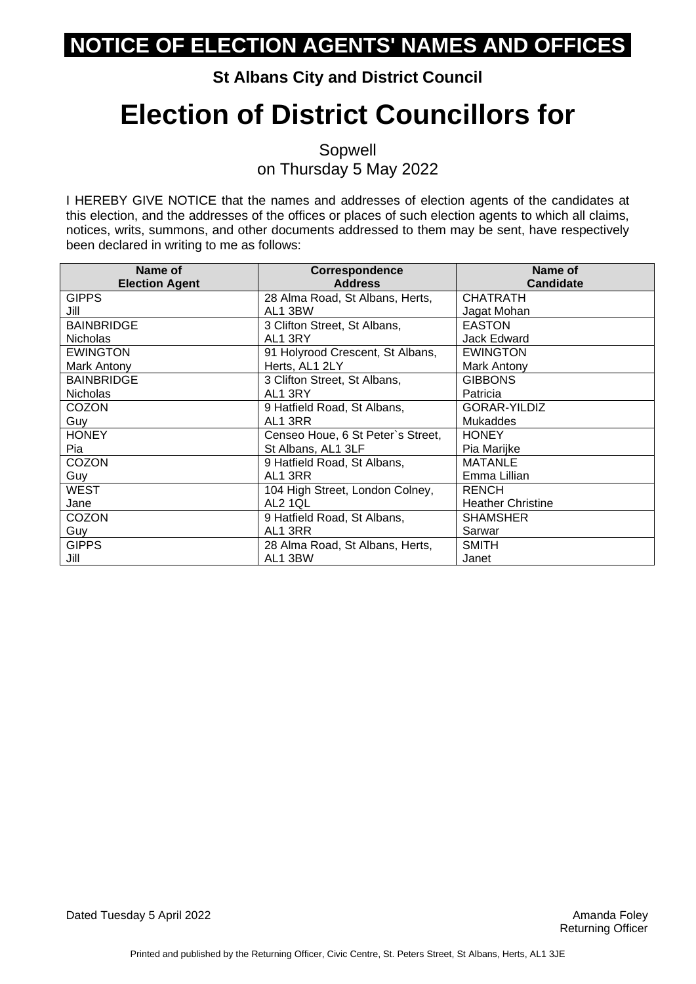#### **St Albans City and District Council**

## **Election of District Councillors for**

Sopwell on Thursday 5 May 2022

| Name of               | Correspondence                    | Name of                  |
|-----------------------|-----------------------------------|--------------------------|
| <b>Election Agent</b> | <b>Address</b>                    | <b>Candidate</b>         |
| <b>GIPPS</b>          | 28 Alma Road, St Albans, Herts,   | <b>CHATRATH</b>          |
| Jill                  | AL1 3BW                           | Jagat Mohan              |
| <b>BAINBRIDGE</b>     | 3 Clifton Street, St Albans,      | <b>EASTON</b>            |
| <b>Nicholas</b>       | AL1 3RY                           | Jack Edward              |
| <b>EWINGTON</b>       | 91 Holyrood Crescent, St Albans,  | <b>EWINGTON</b>          |
| Mark Antony           | Herts, AL1 2LY                    | Mark Antony              |
| <b>BAINBRIDGE</b>     | 3 Clifton Street, St Albans,      | <b>GIBBONS</b>           |
| <b>Nicholas</b>       | AL1 3RY                           | Patricia                 |
| COZON                 | 9 Hatfield Road, St Albans,       | GORAR-YILDIZ             |
| Guy                   | AL1 3RR                           | <b>Mukaddes</b>          |
| <b>HONEY</b>          | Censeo Houe, 6 St Peter's Street, | <b>HONEY</b>             |
| Pia                   | St Albans, AL1 3LF                | Pia Marijke              |
| COZON                 | 9 Hatfield Road, St Albans,       | <b>MATANLE</b>           |
| Guy                   | AL1 3RR                           | Emma Lillian             |
| <b>WEST</b>           | 104 High Street, London Colney,   | <b>RENCH</b>             |
| Jane                  | AL2 1QL                           | <b>Heather Christine</b> |
| <b>COZON</b>          | 9 Hatfield Road, St Albans,       | <b>SHAMSHER</b>          |
| Guy                   | AL1 3RR                           | Sarwar                   |
| <b>GIPPS</b>          | 28 Alma Road, St Albans, Herts,   | <b>SMITH</b>             |
| Jill                  | AL1 3BW                           | Janet                    |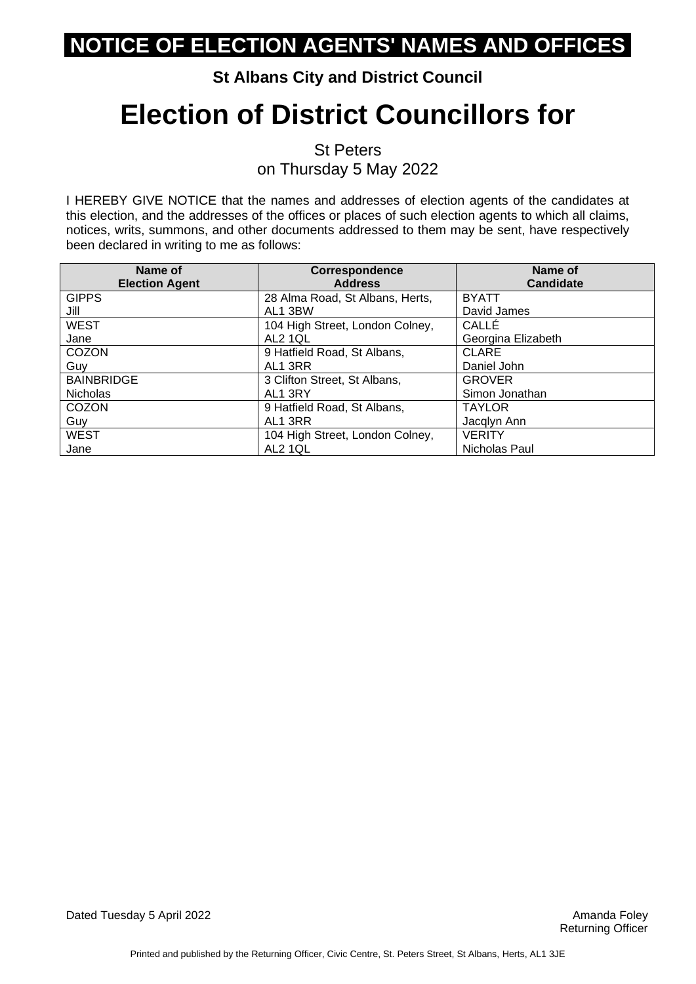#### **St Albans City and District Council**

# **Election of District Councillors for**

St Peters on Thursday 5 May 2022

| Name of               | Correspondence                  | Name of            |
|-----------------------|---------------------------------|--------------------|
| <b>Election Agent</b> | <b>Address</b>                  | <b>Candidate</b>   |
| <b>GIPPS</b>          | 28 Alma Road, St Albans, Herts, | <b>BYATT</b>       |
| Jill                  | AL1 3BW                         | David James        |
| <b>WEST</b>           | 104 High Street, London Colney, | CALLÉ              |
| Jane                  | AL <sub>2</sub> 1QL             | Georgina Elizabeth |
| COZON                 | 9 Hatfield Road, St Albans,     | <b>CLARE</b>       |
| Guy                   | AL1 3RR                         | Daniel John        |
| <b>BAINBRIDGE</b>     | 3 Clifton Street, St Albans,    | <b>GROVER</b>      |
| <b>Nicholas</b>       | AL1 3RY                         | Simon Jonathan     |
| COZON                 | 9 Hatfield Road, St Albans,     | <b>TAYLOR</b>      |
| Guy                   | AL1 3RR                         | Jacqlyn Ann        |
| <b>WEST</b>           | 104 High Street, London Colney, | <b>VERITY</b>      |
| Jane                  | AL2 1QL                         | Nicholas Paul      |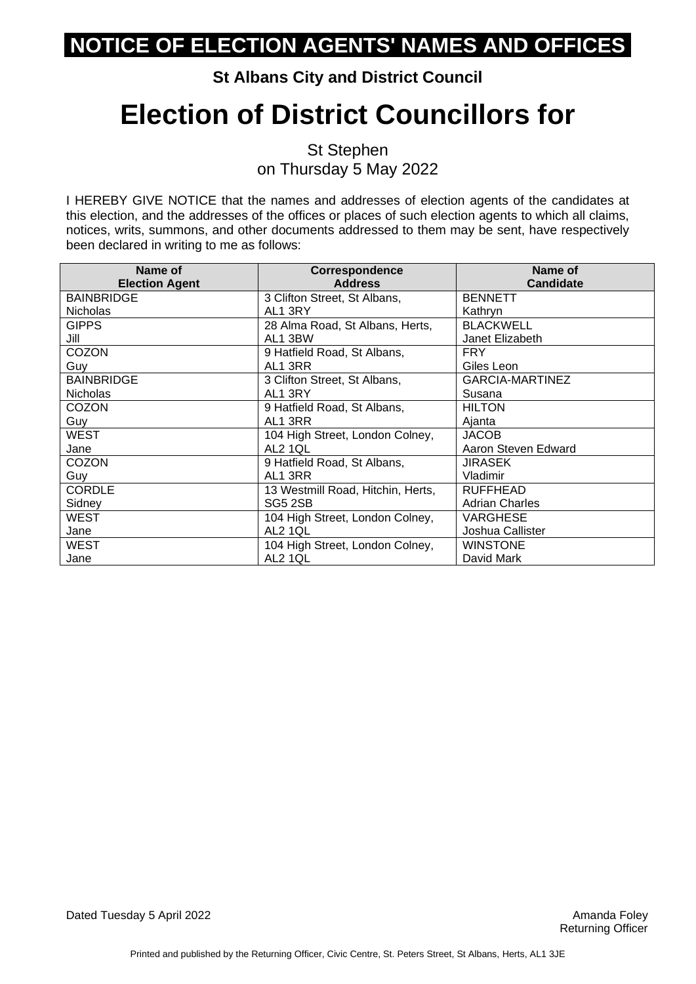#### **St Albans City and District Council**

## **Election of District Councillors for**

St Stephen on Thursday 5 May 2022

| Name of               | Correspondence                    | Name of               |
|-----------------------|-----------------------------------|-----------------------|
| <b>Election Agent</b> | <b>Address</b>                    | <b>Candidate</b>      |
| <b>BAINBRIDGE</b>     | 3 Clifton Street, St Albans,      | <b>BENNETT</b>        |
| <b>Nicholas</b>       | AL1 3RY                           | Kathryn               |
| <b>GIPPS</b>          | 28 Alma Road, St Albans, Herts,   | <b>BLACKWELL</b>      |
| Jill                  | AL1 3BW                           | Janet Elizabeth       |
| COZON                 | 9 Hatfield Road, St Albans,       | <b>FRY</b>            |
| Guy                   | AL1 3RR                           | Giles Leon            |
| <b>BAINBRIDGE</b>     | 3 Clifton Street, St Albans,      | GARCIA-MARTINEZ       |
| <b>Nicholas</b>       | AL1 3RY                           | Susana                |
| <b>COZON</b>          | 9 Hatfield Road, St Albans,       | <b>HILTON</b>         |
| Guy                   | AL1 3RR                           | Ajanta                |
| WEST                  | 104 High Street, London Colney,   | <b>JACOB</b>          |
| Jane                  | AL2 1QL                           | Aaron Steven Edward   |
| COZON                 | 9 Hatfield Road, St Albans,       | <b>JIRASEK</b>        |
| Guy                   | AL1 3RR                           | Vladimir              |
| <b>CORDLE</b>         | 13 Westmill Road, Hitchin, Herts, | <b>RUFFHEAD</b>       |
| Sidney                | SG5 2SB                           | <b>Adrian Charles</b> |
| WEST                  | 104 High Street, London Colney,   | VARGHESE              |
| Jane                  | AL2 1QL                           | Joshua Callister      |
| <b>WEST</b>           | 104 High Street, London Colney,   | WINSTONE              |
| Jane                  | AL2 1QL                           | David Mark            |